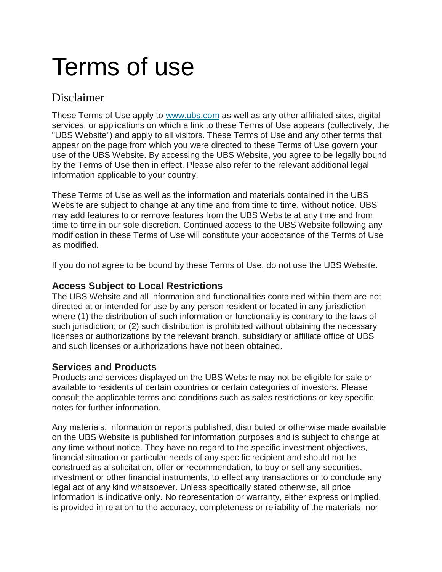# Terms of use

# Disclaimer

These Terms of Use apply to [www.ubs.com](https://www.ubs.com/us/en.html) as well as any other affiliated sites, digital services, or applications on which a link to these Terms of Use appears (collectively, the "UBS Website") and apply to all visitors. These Terms of Use and any other terms that appear on the page from which you were directed to these Terms of Use govern your use of the UBS Website. By accessing the UBS Website, you agree to be legally bound by the Terms of Use then in effect. Please also refer to the relevant additional legal information applicable to your country.

These Terms of Use as well as the information and materials contained in the UBS Website are subject to change at any time and from time to time, without notice. UBS may add features to or remove features from the UBS Website at any time and from time to time in our sole discretion. Continued access to the UBS Website following any modification in these Terms of Use will constitute your acceptance of the Terms of Use as modified.

If you do not agree to be bound by these Terms of Use, do not use the UBS Website.

# **Access Subject to Local Restrictions**

The UBS Website and all information and functionalities contained within them are not directed at or intended for use by any person resident or located in any jurisdiction where (1) the distribution of such information or functionality is contrary to the laws of such jurisdiction; or (2) such distribution is prohibited without obtaining the necessary licenses or authorizations by the relevant branch, subsidiary or affiliate office of UBS and such licenses or authorizations have not been obtained.

# **Services and Products**

Products and services displayed on the UBS Website may not be eligible for sale or available to residents of certain countries or certain categories of investors. Please consult the applicable terms and conditions such as sales restrictions or key specific notes for further information.

Any materials, information or reports published, distributed or otherwise made available on the UBS Website is published for information purposes and is subject to change at any time without notice. They have no regard to the specific investment objectives, financial situation or particular needs of any specific recipient and should not be construed as a solicitation, offer or recommendation, to buy or sell any securities, investment or other financial instruments, to effect any transactions or to conclude any legal act of any kind whatsoever. Unless specifically stated otherwise, all price information is indicative only. No representation or warranty, either express or implied, is provided in relation to the accuracy, completeness or reliability of the materials, nor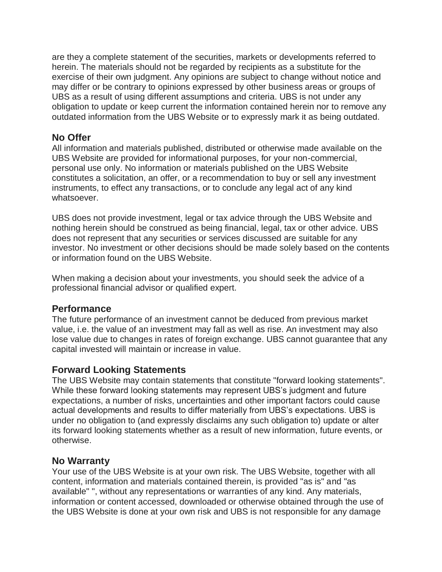are they a complete statement of the securities, markets or developments referred to herein. The materials should not be regarded by recipients as a substitute for the exercise of their own judgment. Any opinions are subject to change without notice and may differ or be contrary to opinions expressed by other business areas or groups of UBS as a result of using different assumptions and criteria. UBS is not under any obligation to update or keep current the information contained herein nor to remove any outdated information from the UBS Website or to expressly mark it as being outdated.

#### **No Offer**

All information and materials published, distributed or otherwise made available on the UBS Website are provided for informational purposes, for your non-commercial, personal use only. No information or materials published on the UBS Website constitutes a solicitation, an offer, or a recommendation to buy or sell any investment instruments, to effect any transactions, or to conclude any legal act of any kind whatsoever.

UBS does not provide investment, legal or tax advice through the UBS Website and nothing herein should be construed as being financial, legal, tax or other advice. UBS does not represent that any securities or services discussed are suitable for any investor. No investment or other decisions should be made solely based on the contents or information found on the UBS Website.

When making a decision about your investments, you should seek the advice of a professional financial advisor or qualified expert.

#### **Performance**

The future performance of an investment cannot be deduced from previous market value, i.e. the value of an investment may fall as well as rise. An investment may also lose value due to changes in rates of foreign exchange. UBS cannot guarantee that any capital invested will maintain or increase in value.

#### **Forward Looking Statements**

The UBS Website may contain statements that constitute "forward looking statements". While these forward looking statements may represent UBS's judgment and future expectations, a number of risks, uncertainties and other important factors could cause actual developments and results to differ materially from UBS's expectations. UBS is under no obligation to (and expressly disclaims any such obligation to) update or alter its forward looking statements whether as a result of new information, future events, or otherwise.

# **No Warranty**

Your use of the UBS Website is at your own risk. The UBS Website, together with all content, information and materials contained therein, is provided "as is" and "as available" ", without any representations or warranties of any kind. Any materials, information or content accessed, downloaded or otherwise obtained through the use of the UBS Website is done at your own risk and UBS is not responsible for any damage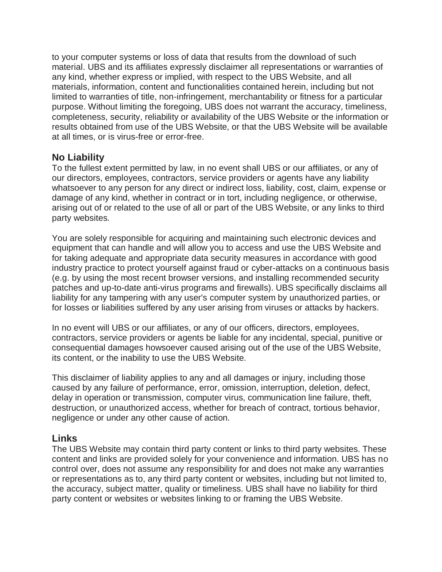to your computer systems or loss of data that results from the download of such material. UBS and its affiliates expressly disclaimer all representations or warranties of any kind, whether express or implied, with respect to the UBS Website, and all materials, information, content and functionalities contained herein, including but not limited to warranties of title, non-infringement, merchantability or fitness for a particular purpose. Without limiting the foregoing, UBS does not warrant the accuracy, timeliness, completeness, security, reliability or availability of the UBS Website or the information or results obtained from use of the UBS Website, or that the UBS Website will be available at all times, or is virus-free or error-free.

#### **No Liability**

To the fullest extent permitted by law, in no event shall UBS or our affiliates, or any of our directors, employees, contractors, service providers or agents have any liability whatsoever to any person for any direct or indirect loss, liability, cost, claim, expense or damage of any kind, whether in contract or in tort, including negligence, or otherwise, arising out of or related to the use of all or part of the UBS Website, or any links to third party websites.

You are solely responsible for acquiring and maintaining such electronic devices and equipment that can handle and will allow you to access and use the UBS Website and for taking adequate and appropriate data security measures in accordance with good industry practice to protect yourself against fraud or cyber-attacks on a continuous basis (e.g. by using the most recent browser versions, and installing recommended security patches and up-to-date anti-virus programs and firewalls). UBS specifically disclaims all liability for any tampering with any user's computer system by unauthorized parties, or for losses or liabilities suffered by any user arising from viruses or attacks by hackers.

In no event will UBS or our affiliates, or any of our officers, directors, employees, contractors, service providers or agents be liable for any incidental, special, punitive or consequential damages howsoever caused arising out of the use of the UBS Website, its content, or the inability to use the UBS Website.

This disclaimer of liability applies to any and all damages or injury, including those caused by any failure of performance, error, omission, interruption, deletion, defect, delay in operation or transmission, computer virus, communication line failure, theft, destruction, or unauthorized access, whether for breach of contract, tortious behavior, negligence or under any other cause of action.

#### **Links**

The UBS Website may contain third party content or links to third party websites. These content and links are provided solely for your convenience and information. UBS has no control over, does not assume any responsibility for and does not make any warranties or representations as to, any third party content or websites, including but not limited to, the accuracy, subject matter, quality or timeliness. UBS shall have no liability for third party content or websites or websites linking to or framing the UBS Website.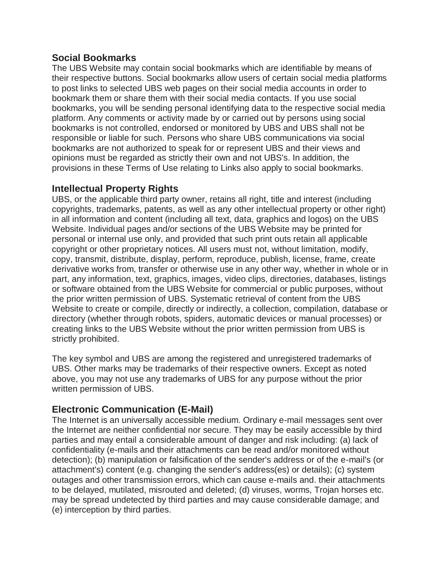### **Social Bookmarks**

The UBS Website may contain social bookmarks which are identifiable by means of their respective buttons. Social bookmarks allow users of certain social media platforms to post links to selected UBS web pages on their social media accounts in order to bookmark them or share them with their social media contacts. If you use social bookmarks, you will be sending personal identifying data to the respective social media platform. Any comments or activity made by or carried out by persons using social bookmarks is not controlled, endorsed or monitored by UBS and UBS shall not be responsible or liable for such. Persons who share UBS communications via social bookmarks are not authorized to speak for or represent UBS and their views and opinions must be regarded as strictly their own and not UBS's. In addition, the provisions in these Terms of Use relating to Links also apply to social bookmarks.

#### **Intellectual Property Rights**

UBS, or the applicable third party owner, retains all right, title and interest (including copyrights, trademarks, patents, as well as any other intellectual property or other right) in all information and content (including all text, data, graphics and logos) on the UBS Website. Individual pages and/or sections of the UBS Website may be printed for personal or internal use only, and provided that such print outs retain all applicable copyright or other proprietary notices. All users must not, without limitation, modify, copy, transmit, distribute, display, perform, reproduce, publish, license, frame, create derivative works from, transfer or otherwise use in any other way, whether in whole or in part, any information, text, graphics, images, video clips, directories, databases, listings or software obtained from the UBS Website for commercial or public purposes, without the prior written permission of UBS. Systematic retrieval of content from the UBS Website to create or compile, directly or indirectly, a collection, compilation, database or directory (whether through robots, spiders, automatic devices or manual processes) or creating links to the UBS Website without the prior written permission from UBS is strictly prohibited.

The key symbol and UBS are among the registered and unregistered trademarks of UBS. Other marks may be trademarks of their respective owners. Except as noted above, you may not use any trademarks of UBS for any purpose without the prior written permission of UBS.

# **Electronic Communication (E-Mail)**

The Internet is an universally accessible medium. Ordinary e-mail messages sent over the Internet are neither confidential nor secure. They may be easily accessible by third parties and may entail a considerable amount of danger and risk including: (a) lack of confidentiality (e-mails and their attachments can be read and/or monitored without detection); (b) manipulation or falsification of the sender's address or of the e-mail's (or attachment's) content (e.g. changing the sender's address(es) or details); (c) system outages and other transmission errors, which can cause e-mails and. their attachments to be delayed, mutilated, misrouted and deleted; (d) viruses, worms, Trojan horses etc. may be spread undetected by third parties and may cause considerable damage; and (e) interception by third parties.